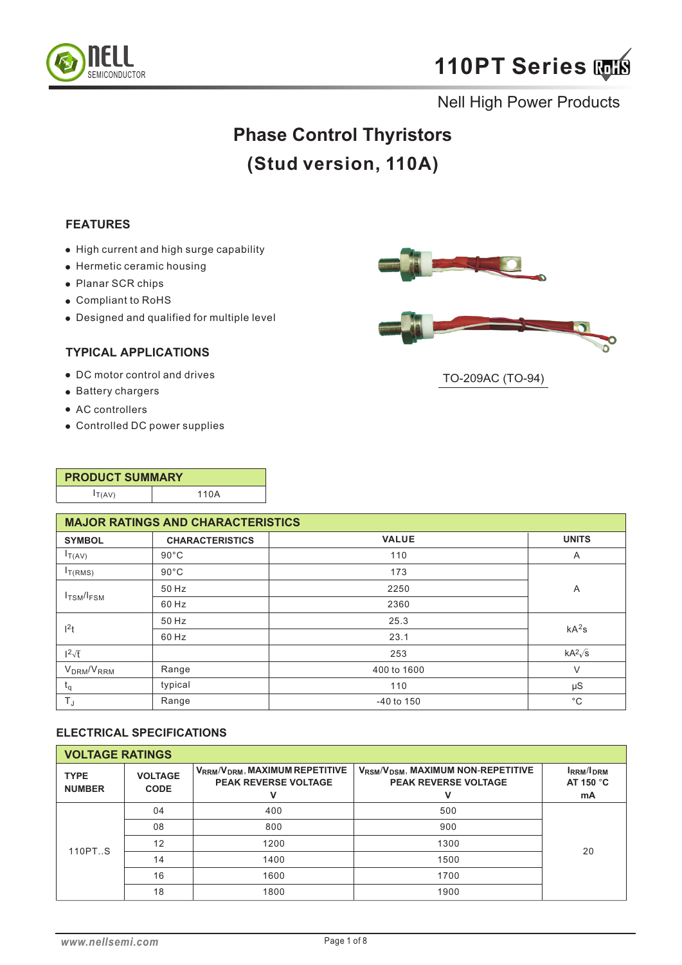



# **Phase Control Thyristors (Stud version, 110A)**

#### **FEATURES**

- $\bullet$  High current and high surge capability
- Hermetic ceramic housing
- Planar SCR chips
- Compliant to RoHS
- Designed and qualified for multiple level

### **TYPICAL APPLICATIONS**

- DC motor control and drives
- Battery chargers
- AC controllers
- Controlled DC power supplies





TO-209AC (TO-94)

| <b>PRODUCT SUMMARY</b> |      |  |  |  |
|------------------------|------|--|--|--|
| I(T(AV))               | 110A |  |  |  |

|                                    | <b>MAJOR RATINGS AND CHARACTERISTICS</b> |                |                   |  |  |  |  |
|------------------------------------|------------------------------------------|----------------|-------------------|--|--|--|--|
| <b>SYMBOL</b>                      | <b>CHARACTERISTICS</b>                   | <b>VALUE</b>   | <b>UNITS</b>      |  |  |  |  |
| $I_{T(AV)}$                        | $90^{\circ}$ C                           | 110            | A                 |  |  |  |  |
| $I_{T(RMS)}$                       | $90^{\circ}$ C                           | 173            |                   |  |  |  |  |
|                                    | 50 Hz                                    | 2250           | A                 |  |  |  |  |
| I <sub>TSM</sub> /I <sub>FSM</sub> | 60 Hz                                    | 2360           |                   |  |  |  |  |
| 1 <sup>2</sup> t                   | 50 Hz                                    | 25.3           | kA <sup>2</sup> s |  |  |  |  |
|                                    | 60 Hz                                    | 23.1           |                   |  |  |  |  |
| $1^2\sqrt{t}$                      |                                          | 253            | $kA^2\sqrt{s}$    |  |  |  |  |
| V <sub>DRM</sub> /V <sub>RRM</sub> | Range                                    | 400 to 1600    | V                 |  |  |  |  |
| $t_q$                              | typical                                  | 110            | $\mu S$           |  |  |  |  |
| $T_{J}$                            | Range                                    | $-40$ to $150$ | $^{\circ}C$       |  |  |  |  |

### **ELECTRICAL SPECIFICATIONS**

| <b>VOLTAGE RATINGS</b>       |                               |                                                                            |                                                                           |                                      |
|------------------------------|-------------------------------|----------------------------------------------------------------------------|---------------------------------------------------------------------------|--------------------------------------|
| <b>TYPE</b><br><b>NUMBER</b> | <b>VOLTAGE</b><br><b>CODE</b> | $V_{RRM}/V_{DRM}$ , MAXIMUM REPETITIVE<br><b>PEAK REVERSE VOLTAGE</b><br>v | $V_{RSM}/V_{DSM}$ , MAXIMUM NON-REPETITIVE<br><b>PEAK REVERSE VOLTAGE</b> | <b>IRRM</b> /IDRM<br>AT 150 °C<br>mA |
|                              | 04                            | 400                                                                        | 500                                                                       |                                      |
| 110PTS                       | 08                            | 800                                                                        | 900                                                                       |                                      |
|                              | 12                            | 1200                                                                       | 1300                                                                      | 20                                   |
|                              | 14                            | 1400                                                                       | 1500                                                                      |                                      |
|                              | 16                            | 1600                                                                       | 1700                                                                      |                                      |
|                              | 18                            | 1800                                                                       | 1900                                                                      |                                      |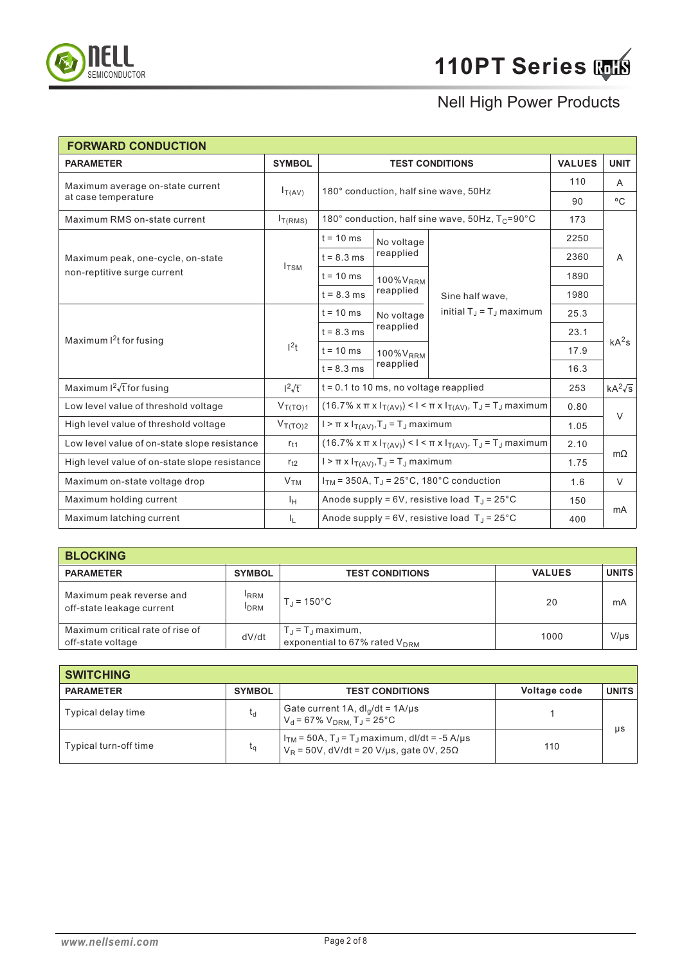

| <b>FORWARD CONDUCTION</b>                     |                  |                                                                                                               |                                                  |                                                                                                               |               |                   |
|-----------------------------------------------|------------------|---------------------------------------------------------------------------------------------------------------|--------------------------------------------------|---------------------------------------------------------------------------------------------------------------|---------------|-------------------|
| <b>PARAMETER</b>                              | <b>SYMBOL</b>    | <b>TEST CONDITIONS</b>                                                                                        |                                                  |                                                                                                               | <b>VALUES</b> | <b>UNIT</b>       |
| Maximum average on-state current              |                  |                                                                                                               |                                                  |                                                                                                               | 110           | A                 |
| at case temperature                           | $I_{T(AV)}$      |                                                                                                               | 180° conduction, half sine wave, 50Hz            |                                                                                                               |               | $^{\circ}C$       |
| Maximum RMS on-state current                  | $I_{T(RMS)}$     |                                                                                                               |                                                  | 180° conduction, half sine wave, 50Hz, T <sub>C</sub> =90°C                                                   | 173           |                   |
|                                               |                  | $t = 10$ ms                                                                                                   | No voltage                                       |                                                                                                               | 2250          | A                 |
| Maximum peak, one-cycle, on-state             |                  | $t = 8.3$ ms                                                                                                  | reapplied                                        |                                                                                                               | 2360          |                   |
| non-reptitive surge current                   | $I_{\text{TSM}}$ | $t = 10$ ms                                                                                                   | 100% V <sub>RRM</sub>                            |                                                                                                               | 1890          |                   |
|                                               |                  | $t = 8.3$ ms                                                                                                  | reapplied                                        | Sine half wave,                                                                                               | 1980          |                   |
| Maximum $l^2$ t for fusing                    | $1^2t$           | $t = 10$ ms                                                                                                   | No voltage<br>reapplied<br>100% V <sub>RRM</sub> | initial $T_{\rm J}$ = $T_{\rm J}$ maximum                                                                     | 25.3          | kA <sup>2</sup> s |
|                                               |                  | $t = 8.3$ ms                                                                                                  |                                                  |                                                                                                               | 23.1          |                   |
|                                               |                  | $t = 10$ ms                                                                                                   |                                                  |                                                                                                               | 17.9          |                   |
|                                               |                  | $t = 8.3$ ms                                                                                                  | reapplied                                        |                                                                                                               | 16.3          |                   |
| Maximum $I^2\sqrt{t}$ for fusing              | $1^2\sqrt{t}$    |                                                                                                               | $t = 0.1$ to 10 ms, no voltage reapplied         |                                                                                                               | 253           | $kA^2\sqrt{s}$    |
| Low level value of threshold voltage          | $V_{T(TO)1}$     |                                                                                                               |                                                  | $(16.7\% \times \pi \times I_{T(AV)})$ < I < $\pi \times I_{T(AV)}$ , T <sub>J</sub> = T <sub>J</sub> maximum | 0.80          | $\vee$            |
| High level value of threshold voltage         | $V_{T(TO)2}$     | $I > \pi \times I_{T(AV)}, T_J = T_J$ maximum                                                                 |                                                  | 1.05                                                                                                          |               |                   |
| Low level value of on-state slope resistance  | $r_{t1}$         | $(16.7\% \times \pi \times I_{T(AV)})$ < I < $\pi \times I_{T(AV)}$ , T <sub>J</sub> = T <sub>J</sub> maximum |                                                  | 2.10                                                                                                          | $m\Omega$     |                   |
| High level value of on-state slope resistance | $r_{t2}$         | $I > \pi x I_{T(AV)}, T_J = T_J$ maximum                                                                      |                                                  | 1.75                                                                                                          |               |                   |
| Maximum on-state voltage drop                 | V <sub>TM</sub>  | $ITM$ = 350A, T <sub>J</sub> = 25°C, 180°C conduction                                                         |                                                  | 1.6                                                                                                           | $\vee$        |                   |
| Maximum holding current                       | Īн               |                                                                                                               |                                                  | Anode supply = $6V$ , resistive load $T_J = 25^{\circ}C$                                                      | 150           |                   |
| Maximum latching current                      | ΙL.              |                                                                                                               |                                                  | Anode supply = $6V$ , resistive load $T_J = 25^{\circ}C$                                                      | 400           | mA                |

| <b>BLOCKING</b>                                       |                                 |                                                                          |               |              |
|-------------------------------------------------------|---------------------------------|--------------------------------------------------------------------------|---------------|--------------|
| <b>PARAMETER</b>                                      | <b>SYMBOL</b>                   | <b>TEST CONDITIONS</b>                                                   | <b>VALUES</b> | <b>UNITS</b> |
| Maximum peak reverse and<br>off-state leakage current | <sup>I</sup> RRM<br><b>IDRM</b> | $T_1 = 150^{\circ}C$                                                     | 20            | mA           |
| Maximum critical rate of rise of<br>off-state voltage | dV/dt                           | $T_{\rm d}$ = $T_{\rm d}$ maximum,<br>exponential to 67% rated $V_{DRM}$ | 1000          | $V/\mu s$    |

| <b>SWITCHING</b>      |               |                                                                                                                                         |              |              |
|-----------------------|---------------|-----------------------------------------------------------------------------------------------------------------------------------------|--------------|--------------|
| <b>PARAMETER</b>      | <b>SYMBOL</b> | <b>TEST CONDITIONS</b>                                                                                                                  | Voltage code | <b>UNITS</b> |
| Typical delay time    | $t_{\rm d}$   | Gate current 1A, $dl_g/dt = 1A/\mu s$<br>$V_d = 67\% V_{DRM}$ , $T_J = 25\degree C$                                                     |              | $\mu s$      |
| Typical turn-off time | $L_{\Omega}$  | ' I <sub>TM</sub> = 50A, T <sub>J</sub> = T <sub>J</sub> maximum, dl/dt = -5 A/μs<br>$V_R$ = 50V, dV/dt = 20 V/µs, gate 0V, 25 $\Omega$ | 110          |              |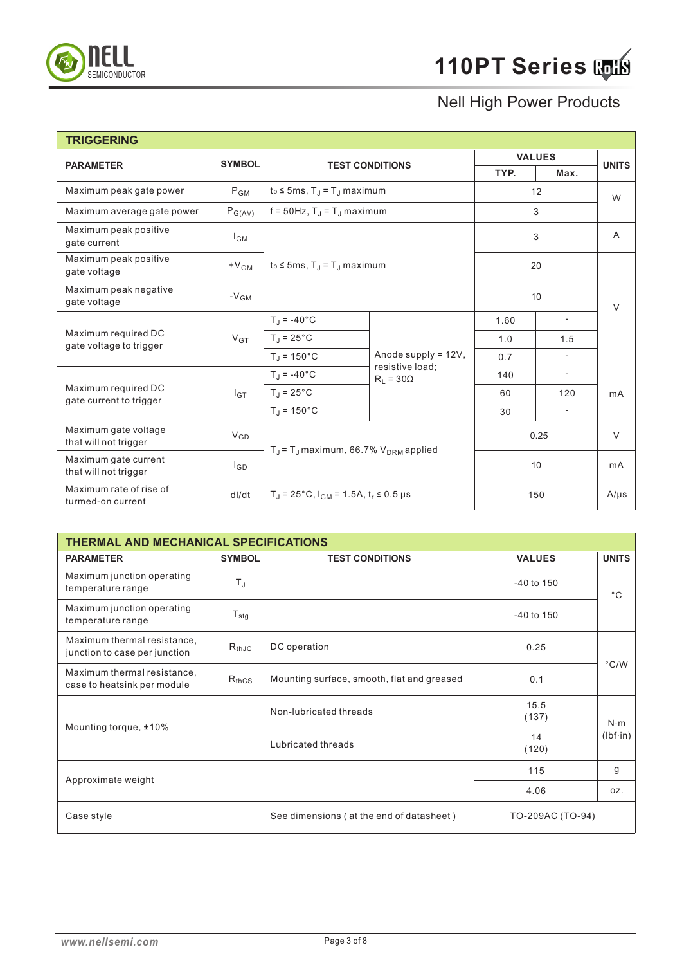

| <b>TRIGGERING</b>                              |                    |                                                               |                                                            |               |                          |              |
|------------------------------------------------|--------------------|---------------------------------------------------------------|------------------------------------------------------------|---------------|--------------------------|--------------|
| <b>PARAMETER</b>                               | <b>SYMBOL</b>      | <b>TEST CONDITIONS</b>                                        |                                                            | <b>VALUES</b> |                          | <b>UNITS</b> |
|                                                |                    |                                                               |                                                            | TYP.          | Max.                     |              |
| Maximum peak gate power                        | $P_{GM}$           | $t_P \le 5$ ms, T <sub>J</sub> = T <sub>J</sub> maximum       |                                                            | 12            |                          | W            |
| Maximum average gate power                     | $P_{G(AV)}$        | $f = 50$ Hz, T <sub>J</sub> = T <sub>J</sub> maximum          |                                                            |               | 3                        |              |
| Maximum peak positive<br>gate current          | l <sub>GM</sub>    |                                                               | $t_p \le 5$ ms, T <sub>.J</sub> = T <sub>.J</sub> maximum  |               | 3                        | A            |
| Maximum peak positive<br>gate voltage          | $+V$ <sub>GM</sub> |                                                               |                                                            |               | 20                       |              |
| Maximum peak negative<br>gate voltage          | $-VGM$             |                                                               |                                                            | 10            |                          | $\vee$       |
|                                                | $V_{GT}$           | $T_J = -40^{\circ}C$                                          |                                                            | 1.60          | $\overline{\phantom{a}}$ | mA           |
| Maximum required DC<br>gate voltage to trigger |                    | $T_{\rm J}$ = 25 $^{\circ}$ C                                 | Anode supply = 12V,<br>resistive load;<br>$R_1 = 30\Omega$ | 1.0           | 1.5                      |              |
|                                                |                    | $T_J = 150^{\circ}C$                                          |                                                            | 0.7           | $\blacksquare$           |              |
|                                                | $I_{GT}$           | $T_J = -40$ °C                                                |                                                            | 140           | $\overline{\phantom{a}}$ |              |
| Maximum required DC<br>gate current to trigger |                    | $T_J = 25^{\circ}C$                                           |                                                            | 60            | 120                      |              |
|                                                |                    | $T_J = 150^{\circ}C$                                          |                                                            | 30            | $\blacksquare$           |              |
| Maximum gate voltage<br>that will not trigger  | $V_{GD}$           | $T_J$ = $T_J$ maximum, 66.7% $V_{DRM}$ applied                |                                                            |               | 0.25                     | V            |
| Maximum gate current<br>that will not trigger  | l <sub>GD</sub>    |                                                               |                                                            |               | 10                       | mA           |
| Maximum rate of rise of<br>turmed-on current   | dl/dt              | $T_{\rm J}$ = 25°C, $I_{\rm GM}$ = 1.5A, $t_{\rm r}$ ≤ 0.5 µs |                                                            |               | 150                      | $A/\mu s$    |

| <b>THERMAL AND MECHANICAL SPECIFICATIONS</b>                 |                  |                                            |                  |                  |  |
|--------------------------------------------------------------|------------------|--------------------------------------------|------------------|------------------|--|
| <b>PARAMETER</b>                                             | <b>SYMBOL</b>    | <b>TEST CONDITIONS</b>                     | <b>VALUES</b>    | <b>UNITS</b>     |  |
| Maximum junction operating<br>temperature range              | $T_{\rm J}$      |                                            | $-40$ to $150$   | $^{\circ}$ C     |  |
| Maximum junction operating<br>temperature range              | $T_{\text{stg}}$ |                                            | -40 to 150       |                  |  |
| Maximum thermal resistance,<br>junction to case per junction | $R_{thJC}$       | DC operation                               | 0.25             |                  |  |
| Maximum thermal resistance,<br>case to heatsink per module   | $R_{thCS}$       | Mounting surface, smooth, flat and greased | 0.1              | $\degree$ C/W    |  |
|                                                              |                  | Non-lubricated threads                     | 15.5<br>(137)    | $N \cdot m$      |  |
| Mounting torque, ±10%                                        |                  | Lubricated threads                         | 14<br>(120)      | $(lbf \cdot in)$ |  |
|                                                              |                  |                                            | 115              | g                |  |
| Approximate weight                                           |                  |                                            | 4.06             | oz.              |  |
| Case style                                                   |                  | See dimensions (at the end of datasheet)   | TO-209AC (TO-94) |                  |  |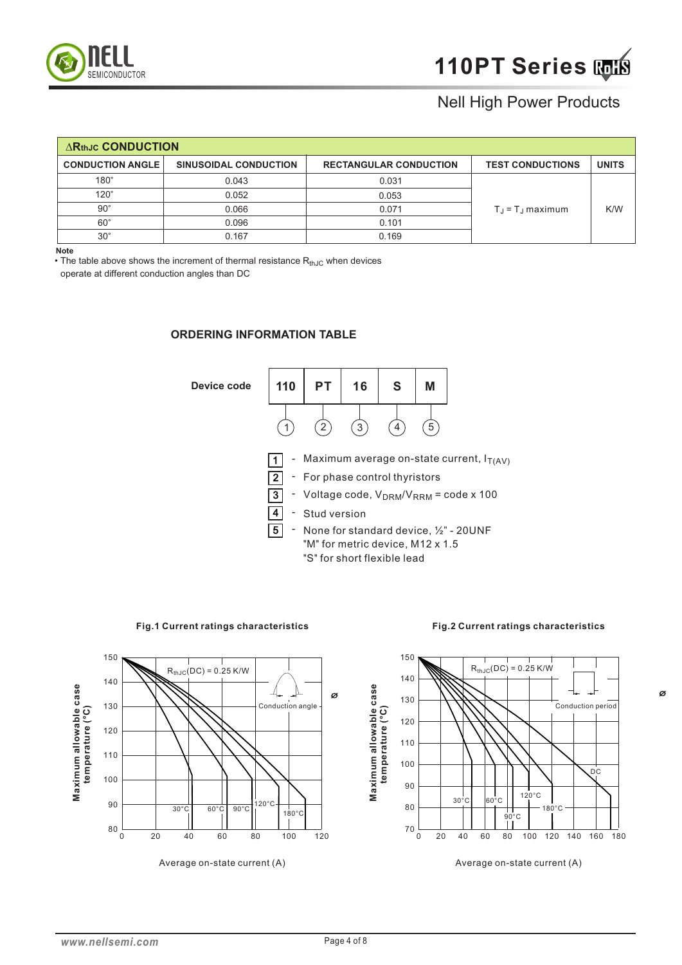

| <b>ARthJC CONDUCTION</b> |                              |                               |                                   |              |  |  |  |
|--------------------------|------------------------------|-------------------------------|-----------------------------------|--------------|--|--|--|
| <b>CONDUCTION ANGLE</b>  | <b>SINUSOIDAL CONDUCTION</b> | <b>RECTANGULAR CONDUCTION</b> | <b>TEST CONDUCTIONS</b>           | <b>UNITS</b> |  |  |  |
| 180°                     | 0.043                        | 0.031                         |                                   |              |  |  |  |
| $120^\circ$              | 0.052                        | 0.053                         |                                   |              |  |  |  |
| $90^\circ$               | 0.066                        | 0.071                         | $T_{\rm J}$ = $T_{\rm J}$ maximum | K/W          |  |  |  |
| $60^\circ$               | 0.096                        | 0.101                         |                                   |              |  |  |  |
| $30^\circ$               | 0.167                        | 0.169                         |                                   |              |  |  |  |

**Note**

• The table above shows the increment of thermal resistance  $R_{thJC}$  when devices

operate at different conduction angles than DC

#### **ORDERING INFORMATION TABLE**



**Fig.1 Current ratings characteristics**

**Fig.2 Current ratings characteristics**





Average on-state current (A)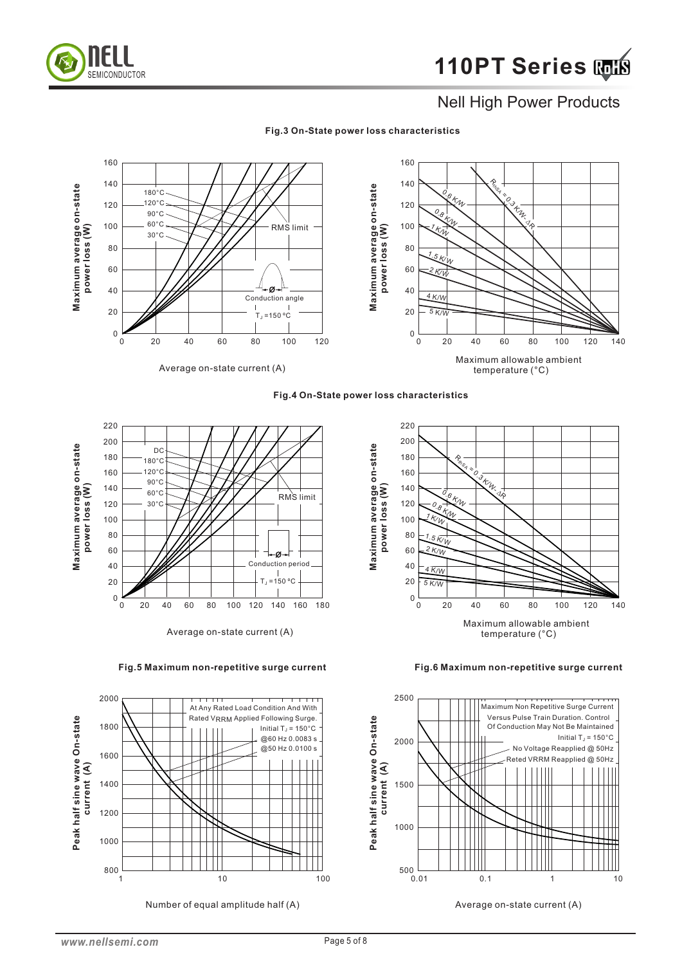

#### **Fig.3 On-State power loss characteristics**









Number of equal amplitude half (A)



**Fig.6 Maximum non-repetitive surge current** 



Average on-state current (A)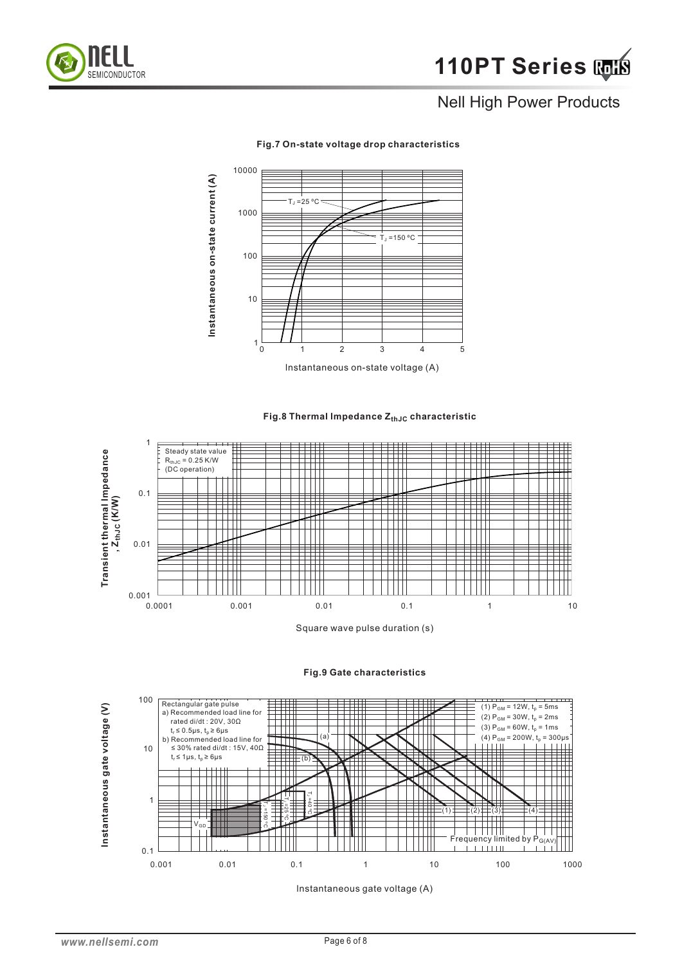



#### **Fig.7 On-state voltage drop characteristics**

**Fig.8 Thermal Impedance Z<sub>thJC</sub> characteristic** 



Square wave pulse duration (s)



#### **Fig.9 Gate characteristics**

lnstantaneous gate voltage (A)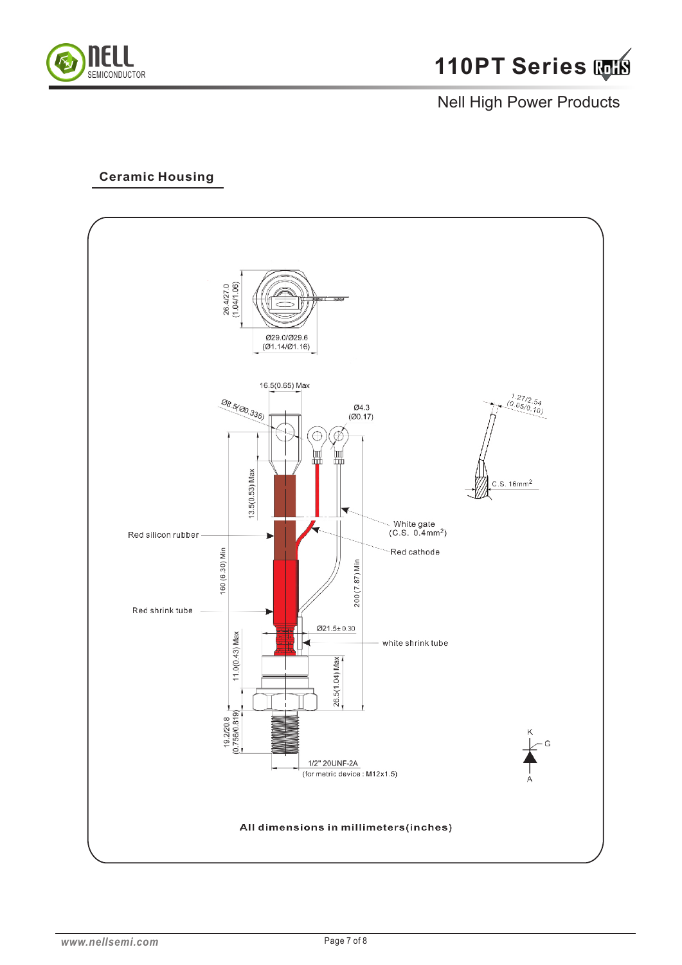

### **Ceramic Housing**